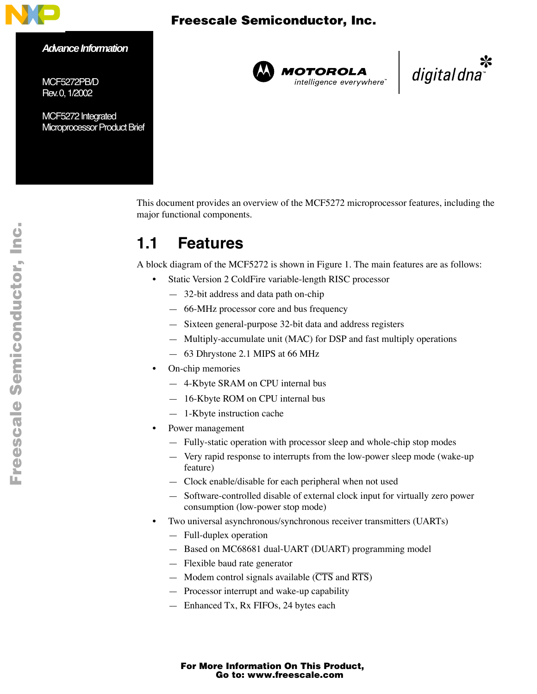

#### *Advance Information*

<span id="page-0-0"></span>*MCF5272PB/D Rev. 0, 1/2002*

*MCF5272 Integrated Microprocessor Product Brief*



**MOTOROLA** intelligence everywhere"

digital dna

This document provides an overview of the MCF5272 microprocessor features, including the major functional components.

# **1.1 Features**

A block diagram of the MCF5272 is shown in [Figure 1](#page-1-0). The main features are as follows:

- Static Version 2 ColdFire variable-length RISC processor
	- 32-bit address and data path on-chip
	- 66-MHz processor core and bus frequency
	- Sixteen general-purpose 32-bit data and address registers
	- Multiply-accumulate unit (MAC) for DSP and fast multiply operations
	- 63 Dhrystone 2.1 MIPS at 66 MHz
- On-chip memories
	- 4-Kbyte SRAM on CPU internal bus
	- 16-Kbyte ROM on CPU internal bus
	- 1-Kbyte instruction cache
- Power management
	- Fully-static operation with processor sleep and whole-chip stop modes
	- Very rapid response to interrupts from the low-power sleep mode (wake-up feature)
	- Clock enable/disable for each peripheral when not used
	- Software-controlled disable of external clock input for virtually zero power consumption (low-power stop mode)
- Two universal asynchronous/synchronous receiver transmitters (UARTs)
	- Full-duplex operation
	- Based on MC68681 dual-UART (DUART) programming model
	- Flexible baud rate generator
	- Modem control signals available  $(\overline{CTS}$  and  $\overline{RTS})$
	- Processor interrupt and wake-up capability
	- Enhanced Tx, Rx FIFOs, 24 bytes each

# For More Information On This Product, Go to: www.freescale.com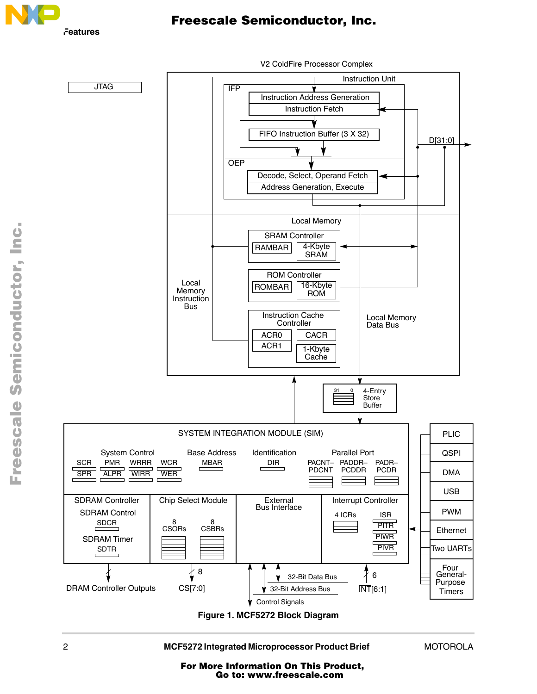



*V2 ColdFire Processor Complex*

<span id="page-1-0"></span>*2* **MCF5272 Integrated Microprocessor Product Brief** *MOTOROLA*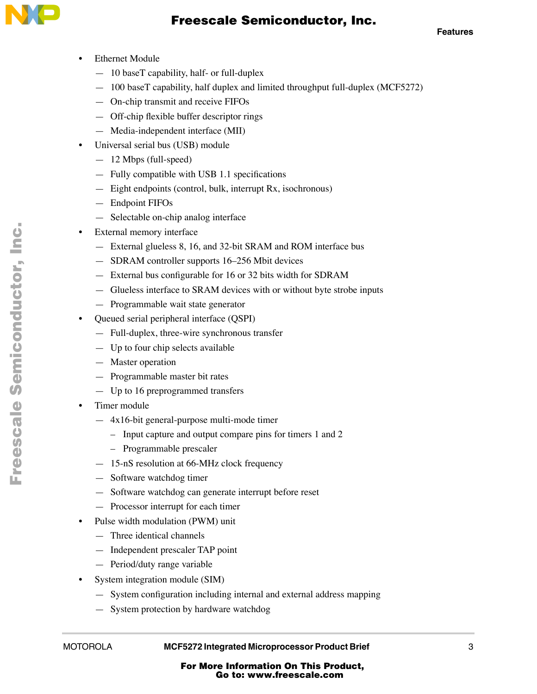

- **Ethernet Module** 
	- 10 baseT capability, half- or full-duplex
	- 100 baseT capability, half duplex and limited throughput full-duplex (MCF5272)
	- On-chip transmit and receive FIFOs
	- Off-chip flexible buffer descriptor rings
	- Media-independent interface (MII)
- Universal serial bus (USB) module
	- 12 Mbps (full-speed)
	- Fully compatible with USB 1.1 specifications
	- Eight endpoints (control, bulk, interrupt Rx, isochronous)
	- Endpoint FIFOs
	- Selectable on-chip analog interface
- External memory interface
	- External glueless 8, 16, and 32-bit SRAM and ROM interface bus
	- SDRAM controller supports 16–256 Mbit devices
	- External bus configurable for 16 or 32 bits width for SDRAM
	- Glueless interface to SRAM devices with or without byte strobe inputs
	- Programmable wait state generator
- Queued serial peripheral interface (QSPI)
	- Full-duplex, three-wire synchronous transfer
	- Up to four chip selects available
	- Master operation
	- Programmable master bit rates
	- Up to 16 preprogrammed transfers
- Timer module
	- $-4x16$ -bit general-purpose multi-mode timer
		- Input capture and output compare pins for timers 1 and 2
		- Programmable prescaler
	- 15-nS resolution at 66-MHz clock frequency
	- Software watchdog timer
	- Software watchdog can generate interrupt before reset
	- Processor interrupt for each timer
- Pulse width modulation (PWM) unit
	- Three identical channels
	- Independent prescaler TAP point
	- Period/duty range variable
- System integration module (SIM)
	- System configuration including internal and external address mapping
	- System protection by hardware watchdog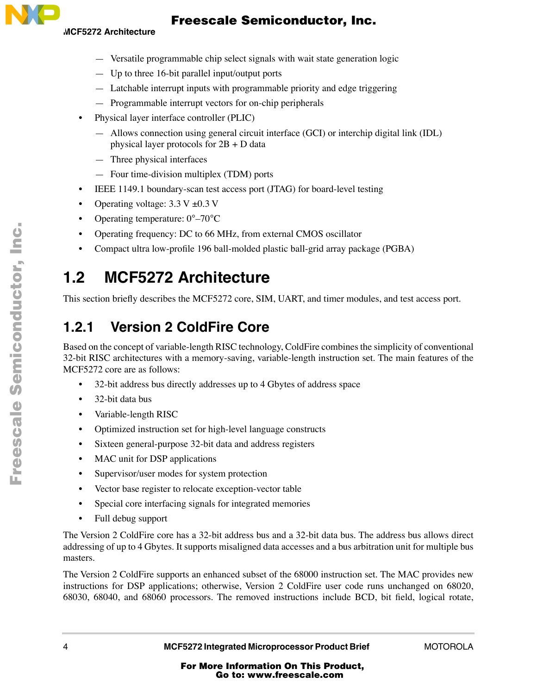#### **MCF5272 Architecture**

- Versatile programmable chip select signals with wait state generation logic
- Up to three 16-bit parallel input/output ports
- Latchable interrupt inputs with programmable priority and edge triggering
- Programmable interrupt vectors for on-chip peripherals
- Physical layer interface controller (PLIC)
	- Allows connection using general circuit interface (GCI) or interchip digital link (IDL) physical layer protocols for 2B + D data
	- Three physical interfaces
	- Four time-division multiplex (TDM) ports
- IEEE 1149.1 boundary-scan test access port (JTAG) for board-level testing
- Operating voltage:  $3.3 \text{ V } \pm 0.3 \text{ V}$
- Operating temperature:  $0^{\circ}$ –70°C
- Operating frequency: DC to 66 MHz, from external CMOS oscillator
- Compact ultra low-profile 196 ball-molded plastic ball-grid array package (PGBA)

# **1.2 MCF5272 Architecture**

This section briefly describes the MCF5272 core, SIM, UART, and timer modules, and test access port.

# **1.2.1 Version 2 ColdFire Core**

Based on the concept of variable-length RISC technology, ColdFire combines the simplicity of conventional 32-bit RISC architectures with a memory-saving, variable-length instruction set. The main features of the MCF5272 core are as follows:

- 32-bit address bus directly addresses up to 4 Gbytes of address space
- 32-bit data bus
- Variable-length RISC
- Optimized instruction set for high-level language constructs
- Sixteen general-purpose 32-bit data and address registers
- MAC unit for DSP applications
- Supervisor/user modes for system protection
- Vector base register to relocate exception-vector table
- Special core interfacing signals for integrated memories
- Full debug support

The Version 2 ColdFire core has a 32-bit address bus and a 32-bit data bus. The address bus allows direct addressing of up to 4 Gbytes. It supports misaligned data accesses and a bus arbitration unit for multiple bus masters.

The Version 2 ColdFire supports an enhanced subset of the 68000 instruction set. The MAC provides new instructions for DSP applications; otherwise, Version 2 ColdFire user code runs unchanged on 68020, 68030, 68040, and 68060 processors. The removed instructions include BCD, bit field, logical rotate,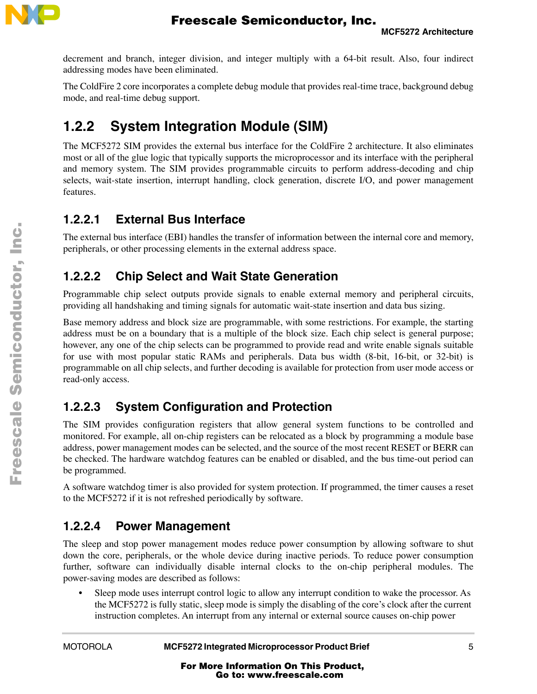

decrement and branch, integer division, and integer multiply with a 64-bit result. Also, four indirect addressing modes have been eliminated.

The ColdFire 2 core incorporates a complete debug module that provides real-time trace, background debug mode, and real-time debug support.

# **1.2.2 System Integration Module (SIM)**

The MCF5272 SIM provides the external bus interface for the ColdFire 2 architecture. It also eliminates most or all of the glue logic that typically supports the microprocessor and its interface with the peripheral and memory system. The SIM provides programmable circuits to perform address-decoding and chip selects, wait-state insertion, interrupt handling, clock generation, discrete I/O, and power management features.

#### **1.2.2.1 External Bus Interface**

The external bus interface (EBI) handles the transfer of information between the internal core and memory, peripherals, or other processing elements in the external address space.

#### **1.2.2.2 Chip Select and Wait State Generation**

Programmable chip select outputs provide signals to enable external memory and peripheral circuits, providing all handshaking and timing signals for automatic wait-state insertion and data bus sizing.

Base memory address and block size are programmable, with some restrictions. For example, the starting address must be on a boundary that is a multiple of the block size. Each chip select is general purpose; however, any one of the chip selects can be programmed to provide read and write enable signals suitable for use with most popular static RAMs and peripherals. Data bus width (8-bit, 16-bit, or 32-bit) is programmable on all chip selects, and further decoding is available for protection from user mode access or read-only access.

#### **1.2.2.3 System Configuration and Protection**

The SIM provides configuration registers that allow general system functions to be controlled and monitored. For example, all on-chip registers can be relocated as a block by programming a module base address, power management modes can be selected, and the source of the most recent RESET or BERR can be checked. The hardware watchdog features can be enabled or disabled, and the bus time-out period can be programmed.

A software watchdog timer is also provided for system protection. If programmed, the timer causes a reset to the MCF5272 if it is not refreshed periodically by software.

#### **1.2.2.4 Power Management**

The sleep and stop power management modes reduce power consumption by allowing software to shut down the core, peripherals, or the whole device during inactive periods. To reduce power consumption further, software can individually disable internal clocks to the on-chip peripheral modules. The power-saving modes are described as follows:

• Sleep mode uses interrupt control logic to allow any interrupt condition to wake the processor. As the MCF5272 is fully static, sleep mode is simply the disabling of the core's clock after the current instruction completes. An interrupt from any internal or external source causes on-chip power

Fr  $\boldsymbol{\Phi}$  $\bf \Phi$  $\boldsymbol{\eta}$  $\mathbf 0$ 

ale

 $\boldsymbol{g}$  $\bf \Phi$ 

mic

o n d u  $\mathbf 0$ t o

r, I

n

.<br>ق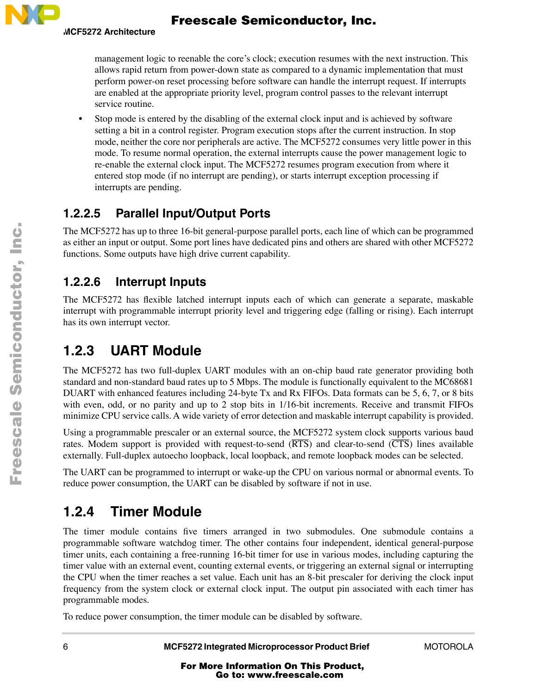management logic to reenable the core's clock; execution resumes with the next instruction. This allows rapid return from power-down state as compared to a dynamic implementation that must perform power-on reset processing before software can handle the interrupt request. If interrupts are enabled at the appropriate priority level, program control passes to the relevant interrupt service routine.

• Stop mode is entered by the disabling of the external clock input and is achieved by software setting a bit in a control register. Program execution stops after the current instruction. In stop mode, neither the core nor peripherals are active. The MCF5272 consumes very little power in this mode. To resume normal operation, the external interrupts cause the power management logic to re-enable the external clock input. The MCF5272 resumes program execution from where it entered stop mode (if no interrupt are pending), or starts interrupt exception processing if interrupts are pending.

#### **1.2.2.5 Parallel Input/Output Ports**

The MCF5272 has up to three 16-bit general-purpose parallel ports, each line of which can be programmed as either an input or output. Some port lines have dedicated pins and others are shared with other MCF5272 functions. Some outputs have high drive current capability.

#### **1.2.2.6 Interrupt Inputs**

The MCF5272 has flexible latched interrupt inputs each of which can generate a separate, maskable interrupt with programmable interrupt priority level and triggering edge (falling or rising). Each interrupt has its own interrupt vector.

### **1.2.3 UART Module**

The MCF5272 has two full-duplex UART modules with an on-chip baud rate generator providing both standard and non-standard baud rates up to 5 Mbps. The module is functionally equivalent to the MC68681 DUART with enhanced features including 24-byte Tx and Rx FIFOs. Data formats can be 5, 6, 7, or 8 bits with even, odd, or no parity and up to 2 stop bits in 1/16-bit increments. Receive and transmit FIFOs minimize CPU service calls. A wide variety of error detection and maskable interrupt capability is provided.

Using a programmable prescaler or an external source, the MCF5272 system clock supports various baud rates. Modem support is provided with request-to-send  $(\overline{RTS})$  and clear-to-send  $(\overline{CTS})$  lines available externally. Full-duplex autoecho loopback, local loopback, and remote loopback modes can be selected.

The UART can be programmed to interrupt or wake-up the CPU on various normal or abnormal events. To reduce power consumption, the UART can be disabled by software if not in use.

#### **1.2.4 Timer Module**

The timer module contains five timers arranged in two submodules. One submodule contains a programmable software watchdog timer. The other contains four independent, identical general-purpose timer units, each containing a free-running 16-bit timer for use in various modes, including capturing the timer value with an external event, counting external events, or triggering an external signal or interrupting the CPU when the timer reaches a set value. Each unit has an 8-bit prescaler for deriving the clock input frequency from the system clock or external clock input. The output pin associated with each timer has programmable modes.

To reduce power consumption, the timer module can be disabled by software.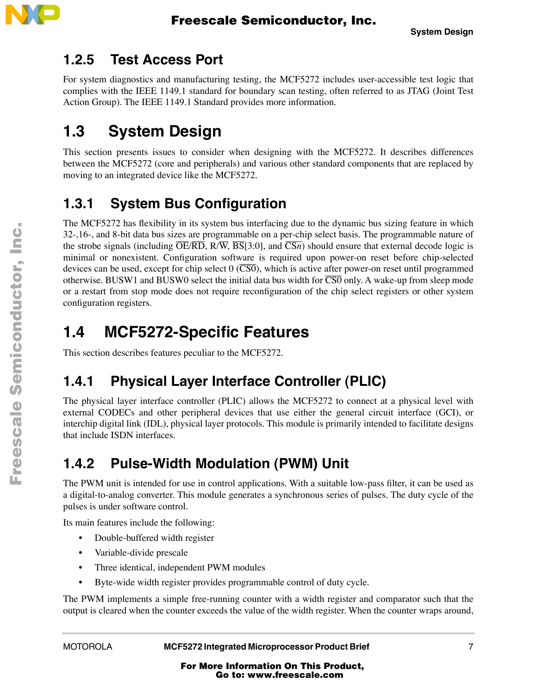

### **1.2.5 Test Access Port**

For system diagnostics and manufacturing testing, the MCF5272 includes user-accessible test logic that complies with the IEEE 1149.1 standard for boundary scan testing, often referred to as JTAG (Joint Test Action Group). The IEEE 1149.1 Standard provides more information.

# **1.3 System Design**

This section presents issues to consider when designing with the MCF5272. It describes differences between the MCF5272 (core and peripherals) and various other standard components that are replaced by moving to an integrated device like the MCF5272.

# **1.3.1 System Bus Configuration**

The MCF5272 has flexibility in its system bus interfacing due to the dynamic bus sizing feature in which 32-,16-, and 8-bit data bus sizes are programmable on a per-chip select basis. The programmable nature of the strobe signals (including  $\overline{OE}/\overline{RD}$ ,  $R/\overline{W}$ ,  $\overline{BS}[3:0]$ , and  $\overline{CS}n$ ) should ensure that external decode logic is minimal or nonexistent. Configuration software is required upon power-on reset before chip-selected devices can be used, except for chip select  $0(\overline{CS0})$ , which is active after power-on reset until programmed otherwise. BUSW1 and BUSW0 select the initial data bus width for CS0 only. A wake-up from sleep mode or a restart from stop mode does not require reconfiguration of the chip select registers or other system configuration registers.

# **1.4 MCF5272-Specific Features**

This section describes features peculiar to the MCF5272.

# **1.4.1 Physical Layer Interface Controller (PLIC)**

The physical layer interface controller (PLIC) allows the MCF5272 to connect at a physical level with external CODECs and other peripheral devices that use either the general circuit interface (GCI), or interchip digital link (IDL), physical layer protocols. This module is primarily intended to facilitate designs that include ISDN interfaces.

# **1.4.2 Pulse-Width Modulation (PWM) Unit**

The PWM unit is intended for use in control applications. With a suitable low-pass filter, it can be used as a digital-to-analog converter. This module generates a synchronous series of pulses. The duty cycle of the pulses is under software control.

Its main features include the following:

- Double-buffered width register
- Variable-divide prescale
- Three identical, independent PWM modules
- Byte-wide width register provides programmable control of duty cycle.

The PWM implements a simple free-running counter with a width register and comparator such that the output is cleared when the counter exceeds the value of the width register. When the counter wraps around,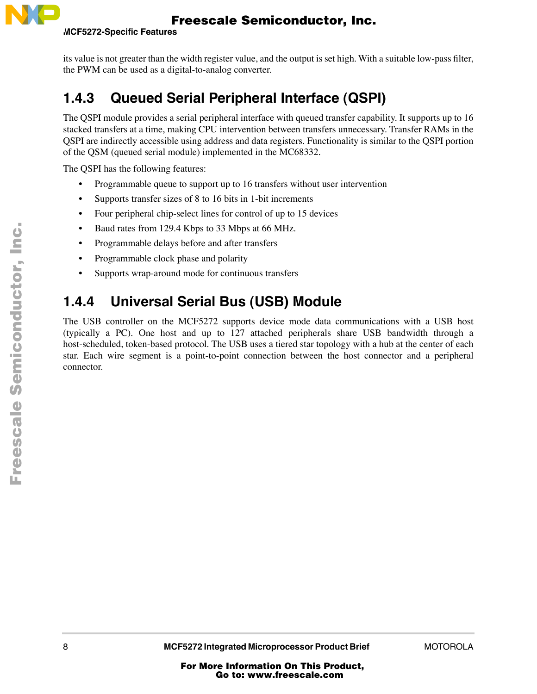

its value is not greater than the width register value, and the output is set high. With a suitable low-pass filter, the PWM can be used as a digital-to-analog converter.

### **1.4.3 Queued Serial Peripheral Interface (QSPI)**

The QSPI module provides a serial peripheral interface with queued transfer capability. It supports up to 16 stacked transfers at a time, making CPU intervention between transfers unnecessary. Transfer RAMs in the QSPI are indirectly accessible using address and data registers. Functionality is similar to the QSPI portion of the QSM (queued serial module) implemented in the MC68332.

The QSPI has the following features:

- Programmable queue to support up to 16 transfers without user intervention
- Supports transfer sizes of 8 to 16 bits in 1-bit increments
- Four peripheral chip-select lines for control of up to 15 devices
- Baud rates from 129.4 Kbps to 33 Mbps at 66 MHz.
- Programmable delays before and after transfers
- Programmable clock phase and polarity
- Supports wrap-around mode for continuous transfers

# **1.4.4 Universal Serial Bus (USB) Module**

The USB controller on the MCF5272 supports device mode data communications with a USB host (typically a PC). One host and up to 127 attached peripherals share USB bandwidth through a host-scheduled, token-based protocol. The USB uses a tiered star topology with a hub at the center of each star. Each wire segment is a point-to-point connection between the host connector and a peripheral connector.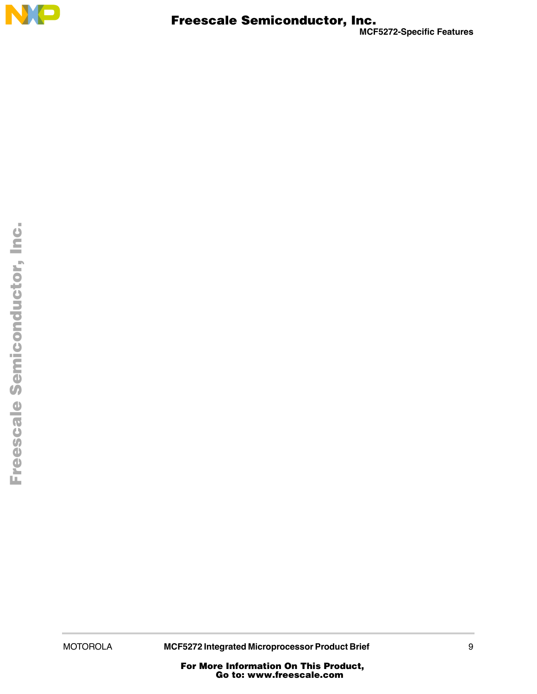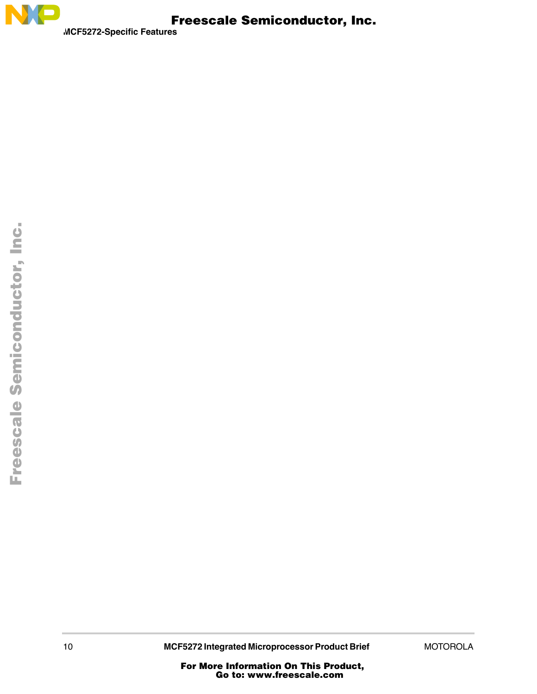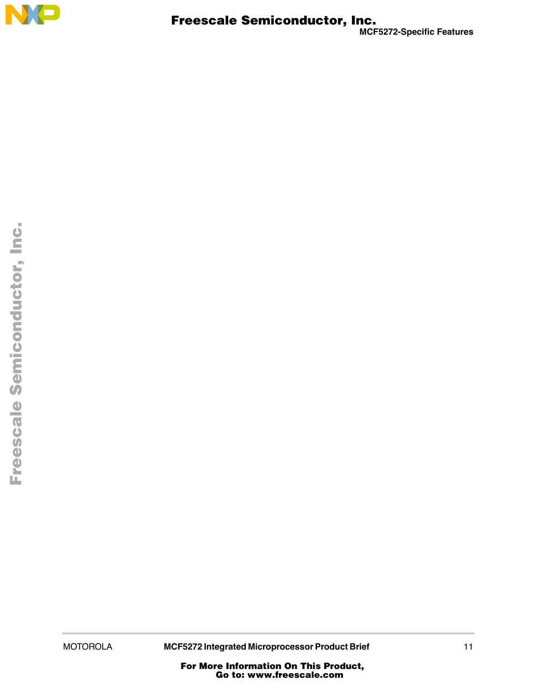